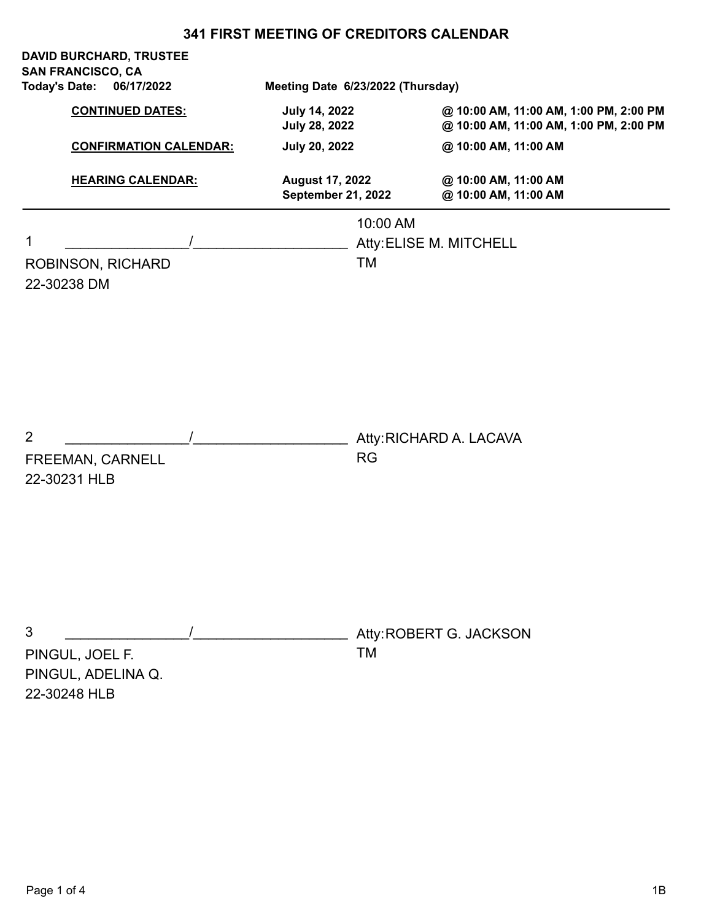| <b>Today's Date:</b> | <b>DAVID BURCHARD, TRUSTEE</b><br><b>SAN FRANCISCO, CA</b><br>06/17/2022 |  |                                                     | Meeting Date 6/23/2022 (Thursday)                |                                                                                  |  |
|----------------------|--------------------------------------------------------------------------|--|-----------------------------------------------------|--------------------------------------------------|----------------------------------------------------------------------------------|--|
|                      | <b>CONTINUED DATES:</b>                                                  |  | July 14, 2022<br><b>July 28, 2022</b>               |                                                  | @ 10:00 AM, 11:00 AM, 1:00 PM, 2:00 PM<br>@ 10:00 AM, 11:00 AM, 1:00 PM, 2:00 PM |  |
|                      | <b>CONFIRMATION CALENDAR:</b>                                            |  | July 20, 2022                                       |                                                  | @ 10:00 AM, 11:00 AM                                                             |  |
|                      | <b>HEARING CALENDAR:</b>                                                 |  | <b>August 17, 2022</b><br><b>September 21, 2022</b> |                                                  | @ 10:00 AM, 11:00 AM<br>@ 10:00 AM, 11:00 AM                                     |  |
| 1<br>22-30238 DM     | ROBINSON, RICHARD                                                        |  |                                                     | 10:00 AM<br>Atty: ELISE M. MITCHELL<br><b>TM</b> |                                                                                  |  |
| $\overline{2}$       | FREEMAN, CARNELL<br>22-30231 HLB                                         |  |                                                     | <b>RG</b>                                        | Atty: RICHARD A. LACAVA                                                          |  |
| 3                    | PINGUL, JOEL F.<br>PINGUL, ADELINA Q.<br>22-30248 HLB                    |  |                                                     | TM                                               | Atty: ROBERT G. JACKSON                                                          |  |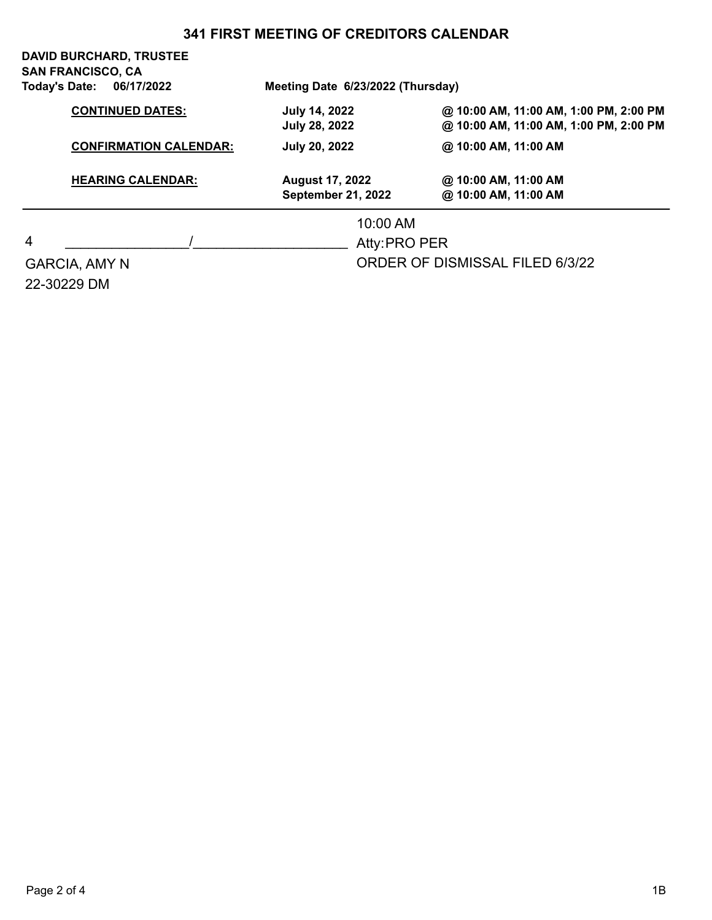|                                                                                      | <b>DAVID BURCHARD, TRUSTEE</b><br><b>SAN FRANCISCO, CA</b><br>Today's Date:<br>06/17/2022 | Meeting Date 6/23/2022 (Thursday)                   |                                                                                                          |  |  |
|--------------------------------------------------------------------------------------|-------------------------------------------------------------------------------------------|-----------------------------------------------------|----------------------------------------------------------------------------------------------------------|--|--|
| <b>CONTINUED DATES:</b><br><b>CONFIRMATION CALENDAR:</b><br><b>HEARING CALENDAR:</b> |                                                                                           | <b>July 14, 2022</b><br><b>July 28, 2022</b>        | @ 10:00 AM, 11:00 AM, 1:00 PM, 2:00 PM<br>@ 10:00 AM, 11:00 AM, 1:00 PM, 2:00 PM<br>@ 10:00 AM, 11:00 AM |  |  |
|                                                                                      |                                                                                           | <b>July 20, 2022</b>                                |                                                                                                          |  |  |
|                                                                                      |                                                                                           | <b>August 17, 2022</b><br><b>September 21, 2022</b> | @ 10:00 AM, 11:00 AM<br>@ 10:00 AM, 11:00 AM                                                             |  |  |
|                                                                                      |                                                                                           | 10:00 AM                                            |                                                                                                          |  |  |
| $\overline{4}$                                                                       |                                                                                           | Atty: PRO PER                                       |                                                                                                          |  |  |
|                                                                                      | <b>GARCIA, AMY N</b><br>22-30229 DM                                                       |                                                     | <b>ORDER OF DISMISSAL FILED 6/3/22</b>                                                                   |  |  |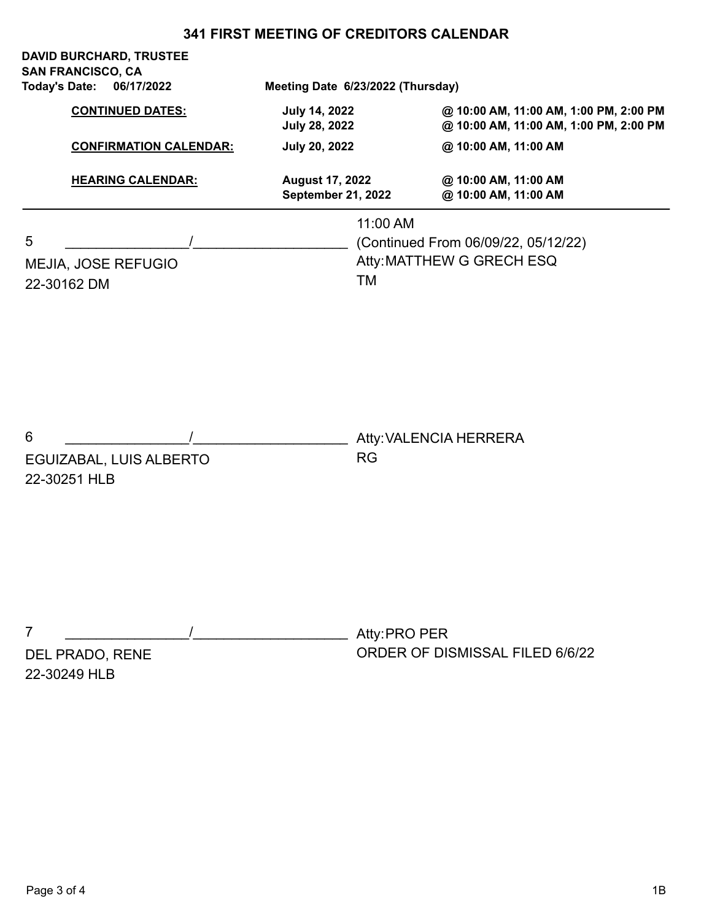|                                    | <b>DAVID BURCHARD, TRUSTEE</b><br><b>SAN FRANCISCO, CA</b> |  |                                                               |               |                                                                                                          |  |
|------------------------------------|------------------------------------------------------------|--|---------------------------------------------------------------|---------------|----------------------------------------------------------------------------------------------------------|--|
| <b>Today's Date:</b><br>06/17/2022 |                                                            |  | Meeting Date 6/23/2022 (Thursday)                             |               |                                                                                                          |  |
|                                    | <b>CONTINUED DATES:</b><br><b>CONFIRMATION CALENDAR:</b>   |  | <b>July 14, 2022</b><br>July 28, 2022<br><b>July 20, 2022</b> |               | @ 10:00 AM, 11:00 AM, 1:00 PM, 2:00 PM<br>@ 10:00 AM, 11:00 AM, 1:00 PM, 2:00 PM<br>@ 10:00 AM, 11:00 AM |  |
|                                    |                                                            |  |                                                               |               |                                                                                                          |  |
|                                    | <b>HEARING CALENDAR:</b>                                   |  | <b>August 17, 2022</b><br>September 21, 2022                  |               | @ 10:00 AM, 11:00 AM<br>@ 10:00 AM, 11:00 AM                                                             |  |
|                                    |                                                            |  |                                                               | 11:00 AM      |                                                                                                          |  |
| 5                                  |                                                            |  |                                                               |               | (Continued From 06/09/22, 05/12/22)                                                                      |  |
|                                    | MEJIA, JOSE REFUGIO                                        |  | Atty: MATTHEW G GRECH ESQ                                     |               |                                                                                                          |  |
|                                    | 22-30162 DM                                                |  |                                                               | <b>TM</b>     |                                                                                                          |  |
| 6                                  |                                                            |  |                                                               |               | Atty: VALENCIA HERRERA                                                                                   |  |
|                                    | EGUIZABAL, LUIS ALBERTO                                    |  |                                                               | <b>RG</b>     |                                                                                                          |  |
|                                    | 22-30251 HLB                                               |  |                                                               |               |                                                                                                          |  |
| 7                                  |                                                            |  |                                                               | Atty: PRO PER |                                                                                                          |  |
|                                    | DEL PRADO, RENE<br>22-30249 HLB                            |  |                                                               |               | ORDER OF DISMISSAL FILED 6/6/22                                                                          |  |